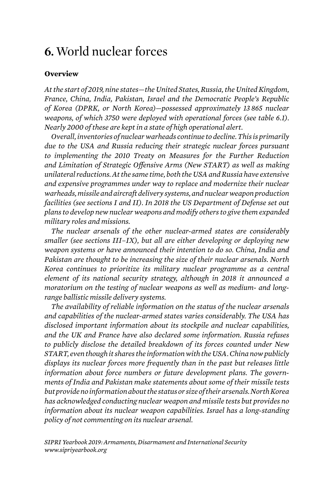## **6.** World nuclear forces

## **Overview**

*At the start of 2019, nine states—the United States, Russia, the United Kingdom, France, China, India, Pakistan, Israel and the Democratic People's Republic of Korea (DPRK, or North Korea)—possessed approximately 13 865 nuclear*  weapons, of which 3750 were deployed with operational forces (see table 6.1). *Nearly 2000 of these are kept in a state of high operational alert.*

*Overall, inventories of nuclear warheads continue to decline. This is primarily due to the USA and Russia reducing their strategic nuclear forces pursuant to implementing the 2010 Treaty on Measures for the Further Reduction and Limitation of Strategic Offensive Arms (New START) as well as making unilateral reductions. At the same time, both the USA and Russia have extensive and expensive programmes under way to replace and modernize their nuclear warheads, missile and aircraft delivery systems, and nuclear weapon production facilities (see sections I and II). In 2018 the US Department of Defense set out plans to develop new nuclear weapons and modify others to give them expanded military roles and missions.*

*The nuclear arsenals of the other nuclear-armed states are considerably smaller (see sections III–IX), but all are either developing or deploying new weapon systems or have announced their intention to do so. China, India and Pakistan are thought to be increasing the size of their nuclear arsenals. North Korea continues to prioritize its military nuclear programme as a central element of its national security strategy, although in 2018 it announced a moratorium on the testing of nuclear weapons as well as medium- and longrange ballistic missile delivery systems.* 

*The availability of reliable information on the status of the nuclear arsenals and capabilities of the nuclear-armed states varies considerably. The USA has disclosed important information about its stockpile and nuclear capabilities, and the UK and France have also declared some information. Russia refuses to publicly disclose the detailed breakdown of its forces counted under New START, even though it shares the information with the USA. China now publicly displays its nuclear forces more frequently than in the past but releases little information about force numbers or future development plans. The governments of India and Pakistan make statements about some of their missile tests but provide no information about the status or size of their arsenals. North Korea has acknowledged conducting nuclear weapon and missile tests but provides no information about its nuclear weapon capabilities. Israel has a long-standing policy of not commenting on its nuclear arsenal.*